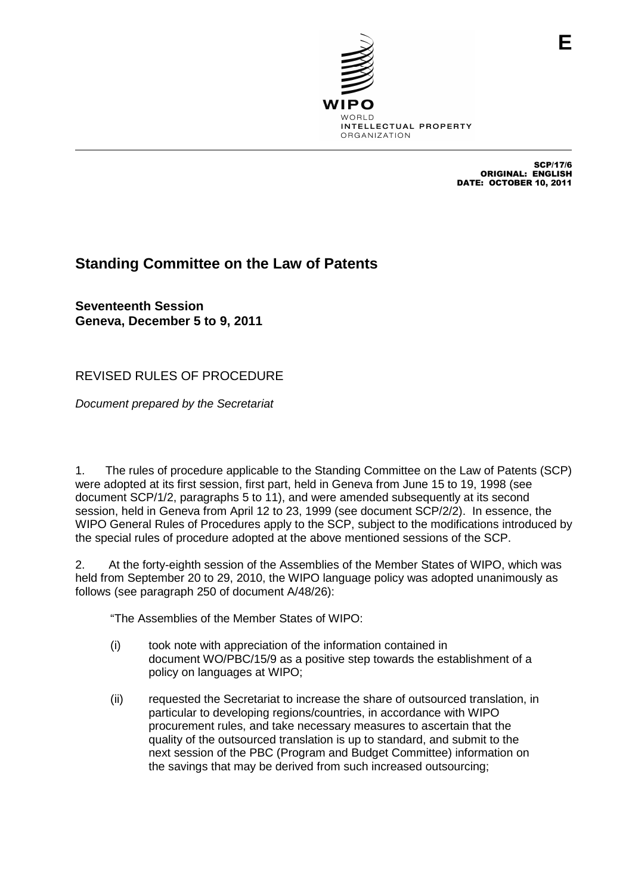

SCP/17/6 ORIGINAL: ENGLISH DATE: OCTOBER 10, 2011

## **Standing Committee on the Law of Patents**

**Seventeenth Session Geneva, December 5 to 9, 2011**

REVISED RULES OF PROCEDURE

Document prepared by the Secretariat

1. The rules of procedure applicable to the Standing Committee on the Law of Patents (SCP) were adopted at its first session, first part, held in Geneva from June 15 to 19, 1998 (see document SCP/1/2, paragraphs 5 to 11), and were amended subsequently at its second session, held in Geneva from April 12 to 23, 1999 (see document SCP/2/2). In essence, the WIPO General Rules of Procedures apply to the SCP, subject to the modifications introduced by the special rules of procedure adopted at the above mentioned sessions of the SCP.

2. At the forty-eighth session of the Assemblies of the Member States of WIPO, which was held from September 20 to 29, 2010, the WIPO language policy was adopted unanimously as follows (see paragraph 250 of document A/48/26):

"The Assemblies of the Member States of WIPO:

- (i) took note with appreciation of the information contained in document WO/PBC/15/9 as a positive step towards the establishment of a policy on languages at WIPO;
- (ii) requested the Secretariat to increase the share of outsourced translation, in particular to developing regions/countries, in accordance with WIPO procurement rules, and take necessary measures to ascertain that the quality of the outsourced translation is up to standard, and submit to the next session of the PBC (Program and Budget Committee) information on the savings that may be derived from such increased outsourcing;

**E**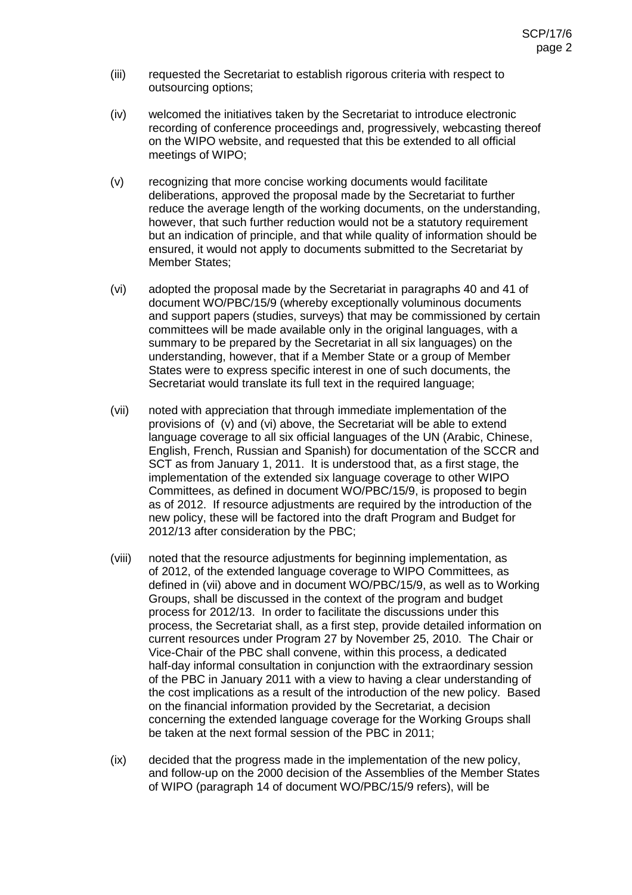- (iii) requested the Secretariat to establish rigorous criteria with respect to outsourcing options;
- (iv) welcomed the initiatives taken by the Secretariat to introduce electronic recording of conference proceedings and, progressively, webcasting thereof on the WIPO website, and requested that this be extended to all official meetings of WIPO;
- (v) recognizing that more concise working documents would facilitate deliberations, approved the proposal made by the Secretariat to further reduce the average length of the working documents, on the understanding, however, that such further reduction would not be a statutory requirement but an indication of principle, and that while quality of information should be ensured, it would not apply to documents submitted to the Secretariat by Member States;
- (vi) adopted the proposal made by the Secretariat in paragraphs 40 and 41 of document WO/PBC/15/9 (whereby exceptionally voluminous documents and support papers (studies, surveys) that may be commissioned by certain committees will be made available only in the original languages, with a summary to be prepared by the Secretariat in all six languages) on the understanding, however, that if a Member State or a group of Member States were to express specific interest in one of such documents, the Secretariat would translate its full text in the required language;
- (vii) noted with appreciation that through immediate implementation of the provisions of (v) and (vi) above, the Secretariat will be able to extend language coverage to all six official languages of the UN (Arabic, Chinese, English, French, Russian and Spanish) for documentation of the SCCR and SCT as from January 1, 2011. It is understood that, as a first stage, the implementation of the extended six language coverage to other WIPO Committees, as defined in document WO/PBC/15/9, is proposed to begin as of 2012. If resource adjustments are required by the introduction of the new policy, these will be factored into the draft Program and Budget for 2012/13 after consideration by the PBC;
- (viii) noted that the resource adjustments for beginning implementation, as of 2012, of the extended language coverage to WIPO Committees, as defined in (vii) above and in document WO/PBC/15/9, as well as to Working Groups, shall be discussed in the context of the program and budget process for 2012/13. In order to facilitate the discussions under this process, the Secretariat shall, as a first step, provide detailed information on current resources under Program 27 by November 25, 2010. The Chair or Vice-Chair of the PBC shall convene, within this process, a dedicated half-day informal consultation in conjunction with the extraordinary session of the PBC in January 2011 with a view to having a clear understanding of the cost implications as a result of the introduction of the new policy. Based on the financial information provided by the Secretariat, a decision concerning the extended language coverage for the Working Groups shall be taken at the next formal session of the PBC in 2011;
- (ix) decided that the progress made in the implementation of the new policy, and follow-up on the 2000 decision of the Assemblies of the Member States of WIPO (paragraph 14 of document WO/PBC/15/9 refers), will be